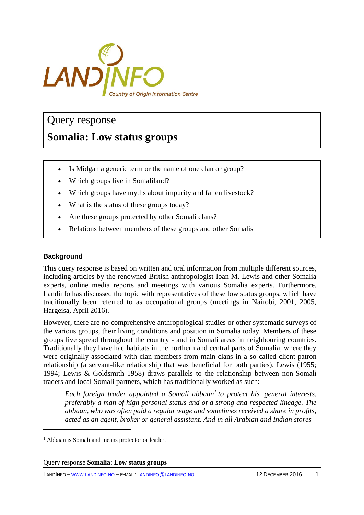

## Query response

# **Somalia: Low status groups**

- Is Midgan a generic term or the name of one clan or group?
- Which groups live in Somaliland?
- Which groups have myths about impurity and fallen livestock?
- What is the status of these groups today?
- Are these groups protected by other Somali clans?
- Relations between members of these groups and other Somalis

### **Background**

 $\overline{a}$ 

This query response is based on written and oral information from multiple different sources, including articles by the renowned British anthropologist Ioan M. Lewis and other Somalia experts, online media reports and meetings with various Somalia experts. Furthermore, Landinfo has discussed the topic with representatives of these low status groups, which have traditionally been referred to as occupational groups (meetings in Nairobi, 2001, 2005, Hargeisa, April 2016).

However, there are no comprehensive anthropological studies or other systematic surveys of the various groups, their living conditions and position in Somalia today. Members of these groups live spread throughout the country - and in Somali areas in neighbouring countries. Traditionally they have had habitats in the northern and central parts of Somalia, where they were originally associated with clan members from main clans in a so-called client-patron relationship (a servant-like relationship that was beneficial for both parties). Lewis (1955; 1994; Lewis & Goldsmith 1958) draws parallels to the relationship between non-Somali traders and local Somali partners, which has traditionally worked as such:

*Each foreign trader appointed a Somali abbaan<sup>1</sup> to protect his general interests, preferably a man of high personal status and of a strong and respected lineage. The abbaan, who was often paid a regular wage and sometimes received a share in profits, acted as an agent, broker or general assistant. And in all Arabian and Indian stores*

<sup>&</sup>lt;sup>1</sup> Abbaan is Somali and means protector or leader.

Query response **Somalia: Low status groups**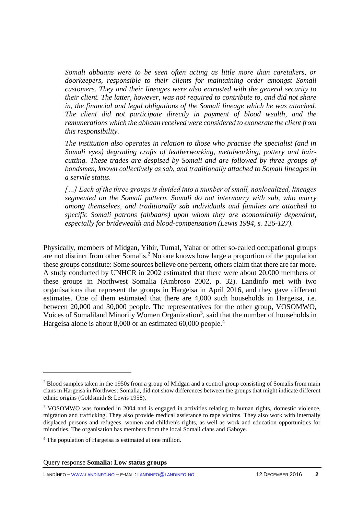*Somali abbaans were to be seen often acting as little more than caretakers, or doorkeepers, responsible to their clients for maintaining order amongst Somali customers. They and their lineages were also entrusted with the general security to their client. The latter, however, was not required to contribute to, and did not share in, the financial and legal obligations of the Somali lineage which he was attached. The client did not participate directly in payment of blood wealth, and the remunerations which the abbaan received were considered to exonerate the client from this responsibility.*

*The institution also operates in relation to those who practise the specialist (and in Somali eyes) degrading crafts of leatherworking, metalworking, pottery and haircutting. These trades are despised by Somali and are followed by three groups of bondsmen, known collectively as sab, and traditionally attached to Somali lineages in a servile status.*

*[…] Each of the three groups is divided into a number of small, nonlocalized, lineages segmented on the Somali pattern. Somali do not intermarry with sab, who marry among themselves, and traditionally sab individuals and families are attached to specific Somali patrons (abbaans) upon whom they are economically dependent, especially for bridewealth and blood-compensation (Lewis 1994, s. 126-127).*

Physically, members of Midgan, Yibir, Tumal, Yahar or other so-called occupational groups are not distinct from other Somalis.<sup>2</sup> No one knows how large a proportion of the population these groups constitute: Some sources believe one percent, others claim that there are far more. A study conducted by UNHCR in 2002 estimated that there were about 20,000 members of these groups in Northwest Somalia (Ambroso 2002, p. 32). Landinfo met with two organisations that represent the groups in Hargeisa in April 2016, and they gave different estimates. One of them estimated that there are 4,000 such households in Hargeisa, i.e. between 20,000 and 30,000 people. The representatives for the other group, VOSOMWO, Voices of Somaliland Minority Women Organization<sup>3</sup>, said that the number of households in Hargeisa alone is about 8,000 or an estimated 60,000 people.<sup>4</sup>

 $\overline{a}$ 

<sup>&</sup>lt;sup>2</sup> Blood samples taken in the 1950s from a group of Midgan and a control group consisting of Somalis from main clans in Hargeisa in Northwest Somalia, did not show differences between the groups that might indicate different ethnic origins (Goldsmith & Lewis 1958).

<sup>3</sup> VOSOMWO was founded in 2004 and is engaged in activities relating to human rights, domestic violence, migration and trafficking. They also provide medical assistance to rape victims. They also work with internally displaced persons and refugees, women and children's rights, as well as work and education opportunities for minorities. The organisation has members from the local Somali clans and Gaboye.

<sup>4</sup> The population of Hargeisa is estimated at one million.

Query response **Somalia: Low status groups**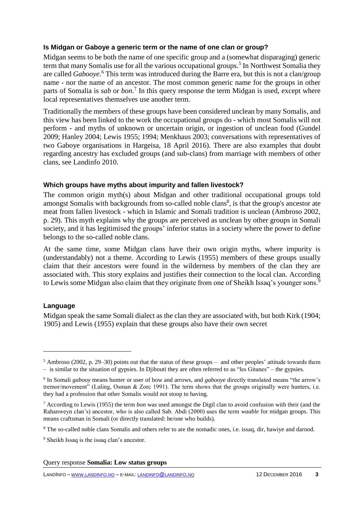## **Is Midgan or Gaboye a generic term or the name of one clan or group?**

Midgan seems to be both the name of one specific group and a (somewhat disparaging) generic term that many Somalis use for all the various occupational groups.<sup>5</sup> In Northwest Somalia they are called *Gabooye*. <sup>6</sup> This term was introduced during the Barre era, but this is not a clan/group name - nor the name of an ancestor. The most common generic name for the groups in other parts of Somalia is *sab* or *bon*. 7 In this query response the term Midgan is used, except where local representatives themselves use another term.

Traditionally the members of these groups have been considered unclean by many Somalis, and this view has been linked to the work the occupational groups do - which most Somalis will not perform - and myths of unknown or uncertain origin, or ingestion of unclean food (Gundel 2009; Hanley 2004; Lewis 1955; 1994; Menkhaus 2003; conversations with representatives of two Gaboye organisations in Hargeisa, 18 April 2016). There are also examples that doubt regarding ancestry has excluded groups (and sub-clans) from marriage with members of other clans, see Landinfo 2010.

#### **Which groups have myths about impurity and fallen livestock?**

The common origin myth(s) about Midgan and other traditional occupational groups told amongst Somalis with backgrounds from so-called noble clans<sup>8</sup>, is that the group's ancestor ate meat from fallen livestock - which in Islamic and Somali tradition is unclean (Ambroso 2002, p. 29). This myth explains why the groups are perceived as unclean by other groups in Somali society, and it has legitimised the groups' inferior status in a society where the power to define belongs to the so-called noble clans.

At the same time, some Midgan clans have their own origin myths, where impurity is (understandably) not a theme. According to Lewis (1955) members of these groups usually claim that their ancestors were found in the wilderness by members of the clan they are associated with. This story explains and justifies their connection to the local clan. According to Lewis some Midgan also claim that they originate from one of Sheikh Issaq's younger sons.<sup>9</sup>

## **Language**

 $\overline{a}$ 

Midgan speak the same Somali dialect as the clan they are associated with, but both Kirk (1904; 1905) and Lewis (1955) explain that these groups also have their own secret

 $5$  Ambroso (2002, p. 29–30) points out that the status of these groups – and other peoples' attitude towards them – is similar to the situation of gypsies. In Djibouti they are often referred to as "les Gitanes" – the gypsies.

<sup>6</sup> In Somali *gabooy* means hunter or user of bow and arrows, and *gabooye* directly translated means "the arrow's tremor/movement" (Luling, Osman & Zorc 1991). The term shows that the groups originally were hunters, i.e. they had a profession that other Somalis would not stoop to having.

<sup>7</sup> According to Lewis (1955) the term *bon* was used amongst the Digil clan to avoid confusion with their (and the Rahanweyn clan's) ancestor, who is also called Sab. Abdi (2000) uses the term *waable* for midgan groups. This means craftsman in Somali (or directly translated: he/one who builds).

<sup>&</sup>lt;sup>8</sup> The so-called noble clans Somalis and others refer to are the nomadic ones, i.e. issaq, dir, hawiye and darood.

<sup>&</sup>lt;sup>9</sup> Sheikh Issaq is the issaq clan's ancestor.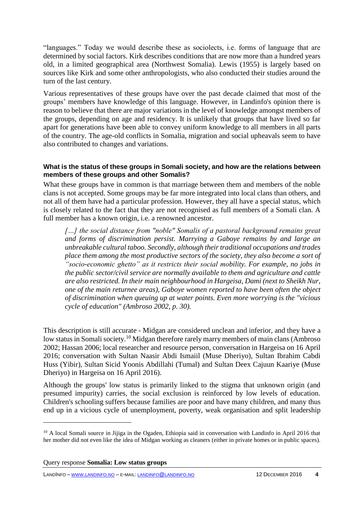"languages." Today we would describe these as sociolects, i.e. forms of language that are determined by social factors. Kirk describes conditions that are now more than a hundred years old, in a limited geographical area (Northwest Somalia). Lewis (1955) is largely based on sources like Kirk and some other anthropologists, who also conducted their studies around the turn of the last century.

Various representatives of these groups have over the past decade claimed that most of the groups' members have knowledge of this language. However, in Landinfo's opinion there is reason to believe that there are major variations in the level of knowledge amongst members of the groups, depending on age and residency. It is unlikely that groups that have lived so far apart for generations have been able to convey uniform knowledge to all members in all parts of the country. The age-old conflicts in Somalia, migration and social upheavals seem to have also contributed to changes and variations.

#### **What is the status of these groups in Somali society, and how are the relations between members of these groups and other Somalis?**

What these groups have in common is that marriage between them and members of the noble clans is not accepted. Some groups may be far more integrated into local clans than others, and not all of them have had a particular profession. However, they all have a special status, which is closely related to the fact that they are not recognised as full members of a Somali clan. A full member has a known origin, i.e. a renowned ancestor.

[...] the social distance from "noble" Somalis of a pastoral background remains great *and forms of discrimination persist. Marrying a Gaboye remains by and large an unbreakable cultural taboo. Secondly, although their traditional occupations and trades place them among the most productive sectors of the society, they also become a sort of "socio-economic ghetto" as it restricts their social mobility. For example, no jobs in the public sector/civil service are normally available to them and agriculture and cattle are also restricted. In their main neighbourhood in Hargeisa, Dami (next to Sheikh Nur, one of the main returnee areas), Gaboye women reported to have been often the object of discrimination when queuing up at water points. Even more worrying is the "vicious cycle of education" (Ambroso 2002, p. 30).*

This description is still accurate - Midgan are considered unclean and inferior, and they have a low status in Somali society.<sup>10</sup> Midgan therefore rarely marry members of main clans (Ambroso 2002; Hassan 2006; local researcher and resource person, conversation in Hargeisa on 16 April 2016; conversation with Sultan Naasir Abdi Ismaiil (Muse Dheriyo), Sultan Ibrahim Cabdi Huss (Yibir), Sultan Sicid Yoonis Abdillahi (Tumal) and Sultan Deex Cajuun Kaariye (Muse Dheriyo) in Hargeisa on 16 April 2016).

Although the groups' low status is primarily linked to the stigma that unknown origin (and presumed impurity) carries, the social exclusion is reinforced by low levels of education. Children's schooling suffers because families are poor and have many children, and many thus end up in a vicious cycle of unemployment, poverty, weak organisation and split leadership

 $\overline{a}$ 

LANDINFO – WWW.[LANDINFO](http://www.landinfo.no/).NO – E-MAIL: [LANDINFO](mailto:landinfo@landinfo.no)@LANDINFO.NO 12 DECEMBER 2016 **4**

<sup>&</sup>lt;sup>10</sup> A local Somali source in Jijiga in the Ogaden, Ethiopia said in conversation with Landinfo in April 2016 that her mother did not even like the idea of Midgan working as cleaners (either in private homes or in public spaces).

Query response **Somalia: Low status groups**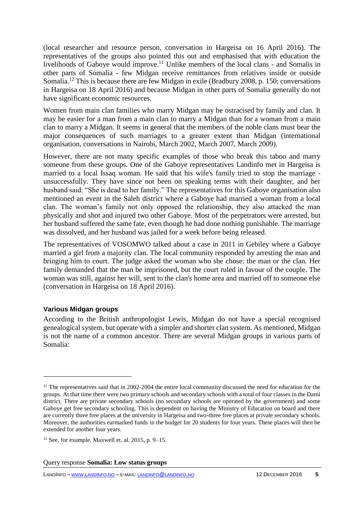(local researcher and resource person, conversation in Hargeisa on 16 April 2016). The representatives of the groups also pointed this out and emphasised that with education the livelihoods of Gaboye would improve.<sup>11</sup> Unlike members of the local clans - and Somalis in other parts of Somalia - few Midgan receive remittances from relatives inside or outside Somalia.<sup>12</sup> This is because there are few Midgan in exile (Bradbury 2008, p. 150; conversations in Hargeisa on 18 April 2016) and because Midgan in other parts of Somalia generally do not have significant economic resources.

Women from main clan families who marry Midgan may be ostracised by family and clan. It may be easier for a man from a main clan to marry a Midgan than for a woman from a main clan to marry a Midgan. It seems in general that the members of the noble clans must bear the major consequences of such marriages to a greater extent than Midgan (international organisation, conversations in Nairobi, March 2002, March 2007, March 2009).

However, there are not many specific examples of those who break this taboo and marry someone from these groups. One of the Gaboye representatives Landinfo met in Hargeisa is married to a local Issaq woman. He said that his wife's family tried to stop the marriage unsuccessfully. They have since not been on speaking terms with their daughter, and her husband said: "She is dead to her family." The representatives for this Gaboye organisation also mentioned an event in the Saleh district where a Gaboye had married a woman from a local clan. The woman's family not only opposed the relationship, they also attacked the man physically and shot and injured two other Gaboye. Most of the perpetrators were arrested, but her husband suffered the same fate, even though he had done nothing punishable. The marriage was dissolved, and her husband was jailed for a week before being released.

The representatives of VOSOMWO talked about a case in 2011 in Gebiley where a Gaboye married a girl from a majority clan. The local community responded by arresting the man and bringing him to court. The judge asked the woman who she chose: the man or the clan. Her family demanded that the man be imprisoned, but the court ruled in favour of the couple. The woman was still, against her will, sent to the clan's home area and married off to someone else (conversation in Hargeisa on 18 April 2016).

## **Various Midgan groups**

 $\overline{a}$ 

According to the British anthropologist Lewis, Midgan do not have a special recognised genealogical system, but operate with a simpler and shorter clan system. As mentioned, Midgan is not the name of a common ancestor. There are several Midgan groups in various parts of Somalia:

 $11$  The representatives said that in 2002-2004 the entire local community discussed the need for education for the groups. At that time there were two primary schools and secondary schools with a total of four classes in the Dami district. There are private secondary schools (no secondary schools are operated by the government) and some Gaboye get free secondary schooling. This is dependent on having the Ministry of Education on board and there are currently three free places at the university in Hargeisa and two-three free places at private secondary schools. Moreover, the authorities earmarked funds in the budget for 20 students for four years. These places will then be extended for another four years.

<sup>&</sup>lt;sup>12</sup> See, for example, Maxwell et. al. 2015, p.  $9-15$ .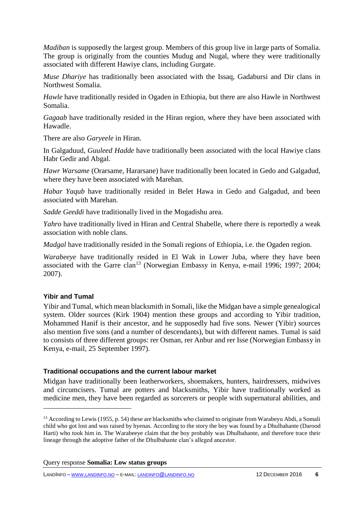*Madiban* is supposedly the largest group. Members of this group live in large parts of Somalia. The group is originally from the counties Mudug and Nugal, where they were traditionally associated with different Hawiye clans, including Gurgate.

*Muse Dhariye* has traditionally been associated with the Issaq, Gadabursi and Dir clans in Northwest Somalia.

*Hawle* have traditionally resided in Ogaden in Ethiopia, but there are also Hawle in Northwest Somalia.

*Gagaab* have traditionally resided in the Hiran region, where they have been associated with Hawadle.

There are also *Garyeele* in Hiran.

In Galgaduud, *Guuleed Hadde* have traditionally been associated with the local Hawiye clans Habr Gedir and Abgal.

*Hawr Warsame* (Orarsame, Hararsane) have traditionally been located in Gedo and Galgadud, where they have been associated with Marehan.

*Habar Yaqub* have traditionally resided in Belet Hawa in Gedo and Galgadud, and been associated with Marehan.

*Sadde Geeddi* have traditionally lived in the Mogadishu area.

*Yahro* have traditionally lived in Hiran and Central Shabelle, where there is reportedly a weak association with noble clans.

*Madgal* have traditionally resided in the Somali regions of Ethiopia, i.e. the Ogaden region.

*Warabeeye* have traditionally resided in El Wak in Lower Juba, where they have been associated with the Garre clan<sup>13</sup> (Norwegian Embassy in Kenya, e-mail 1996; 1997; 2004; 2007).

## **Yibir and Tumal**

 $\overline{a}$ 

Yibir and Tumal, which mean blacksmith in Somali, like the Midgan have a simple genealogical system. Older sources (Kirk 1904) mention these groups and according to Yibir tradition, Mohammed Hanif is their ancestor, and he supposedly had five sons. Newer (Yibir) sources also mention five sons (and a number of descendants), but with different names. Tumal is said to consists of three different groups: rer Osman, rer Anbur and rer Isse (Norwegian Embassy in Kenya, e-mail, 25 September 1997).

## **Traditional occupations and the current labour market**

Midgan have traditionally been leatherworkers, shoemakers, hunters, hairdressers, midwives and circumcisers. Tumal are potters and blacksmiths, Yibir have traditionally worked as medicine men, they have been regarded as sorcerers or people with supernatural abilities, and

Query response **Somalia: Low status groups**

LANDINFO – WWW.[LANDINFO](http://www.landinfo.no/).NO – E-MAIL: [LANDINFO](mailto:landinfo@landinfo.no)@LANDINFO.NO 12 DECEMBER 2016 **6**

<sup>&</sup>lt;sup>13</sup> According to Lewis (1955, p. 54) these are blacksmiths who claimed to originate from Warabeyu Abdi, a Somali child who got lost and was raised by hyenas. According to the story the boy was found by a Dhulbahante (Darood Harti) who took him in. The Warabeeye claim that the boy probably was Dhulbahante, and therefore trace their lineage through the adoptive father of the Dhulbahante clan's alleged ancestor.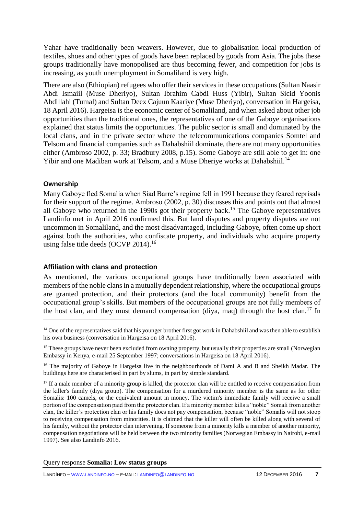Yahar have traditionally been weavers. However, due to globalisation local production of textiles, shoes and other types of goods have been replaced by goods from Asia. The jobs these groups traditionally have monopolised are thus becoming fewer, and competition for jobs is increasing, as youth unemployment in Somaliland is very high.

There are also (Ethiopian) refugees who offer their services in these occupations (Sultan Naasir Abdi Ismaiil (Muse Dheriyo), Sultan Ibrahim Cabdi Huss (Yibir), Sultan Sicid Yoonis Abdillahi (Tumal) and Sultan Deex Cajuun Kaariye (Muse Dheriyo), conversation in Hargeisa, 18 April 2016). Hargeisa is the economic center of Somaliland, and when asked about other job opportunities than the traditional ones, the representatives of one of the Gaboye organisations explained that status limits the opportunities. The public sector is small and dominated by the local clans, and in the private sector where the telecommunications companies Somtel and Telsom and financial companies such as Dahabshiil dominate, there are not many opportunities either (Ambroso 2002, p. 33; Bradbury 2008, p.15). Some Gaboye are still able to get in: one Yibir and one Madiban work at Telsom, and a Muse Dheriye works at Dahabshiil.<sup>14</sup>

#### **Ownership**

Many Gaboye fled Somalia when Siad Barre's regime fell in 1991 because they feared reprisals for their support of the regime. Ambroso (2002, p. 30) discusses this and points out that almost all Gaboye who returned in the 1990s got their property back.<sup>15</sup> The Gaboye representatives Landinfo met in April 2016 confirmed this. But land disputes and property disputes are not uncommon in Somaliland, and the most disadvantaged, including Gaboye, often come up short against both the authorities, who confiscate property, and individuals who acquire property using false title deeds  $(OCVP 2014).$ <sup>16</sup>

## **Affiliation with clans and protection**

As mentioned, the various occupational groups have traditionally been associated with members of the noble clans in a mutually dependent relationship, where the occupational groups are granted protection, and their protectors (and the local community) benefit from the occupational group's skills. But members of the occupational groups are not fully members of the host clan, and they must demand compensation (diya, maq) through the host clan.<sup>17</sup> In  $\overline{a}$ 

 $14$  One of the representatives said that his younger brother first got work in Dahabshiil and was then able to establish his own business (conversation in Hargeisa on 18 April 2016).

<sup>&</sup>lt;sup>15</sup> These groups have never been excluded from owning property, but usually their properties are small (Norwegian Embassy in Kenya, e-mail 25 September 1997; conversations in Hargeisa on 18 April 2016).

<sup>&</sup>lt;sup>16</sup> The majority of Gaboye in Hargeisa live in the neighbourhoods of Dami A and B and Sheikh Madar. The buildings here are characterised in part by slums, in part by simple standard.

<sup>&</sup>lt;sup>17</sup> If a male member of a minority group is killed, the protector clan will be entitled to receive compensation from the killer's family (diya group). The compensation for a murdered minority member is the same as for other Somalis: 100 camels, or the equivalent amount in money. The victim's immediate family will receive a small portion of the compensation paid from the protector clan. If a minority member kills a "noble" Somali from another clan, the killer's protection clan or his family does not pay compensation, because "noble" Somalis will not stoop to receiving compensation from minorities. It is claimed that the killer will often be killed along with several of his family, without the protector clan intervening. If someone from a minority kills a member of another minority, compensation negotiations will be held between the two minority families (Norwegian Embassy in Nairobi, e-mail 1997). See also Landinfo 2016.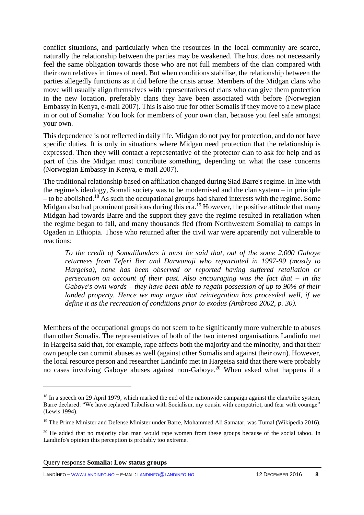conflict situations, and particularly when the resources in the local community are scarce, naturally the relationship between the parties may be weakened. The host does not necessarily feel the same obligation towards those who are not full members of the clan compared with their own relatives in times of need. But when conditions stabilise, the relationship between the parties allegedly functions as it did before the crisis arose. Members of the Midgan clans who move will usually align themselves with representatives of clans who can give them protection in the new location, preferably clans they have been associated with before (Norwegian Embassy in Kenya, e-mail 2007). This is also true for other Somalis if they move to a new place in or out of Somalia: You look for members of your own clan, because you feel safe amongst your own.

This dependence is not reflected in daily life. Midgan do not pay for protection, and do not have specific duties. It is only in situations where Midgan need protection that the relationship is expressed. Then they will contact a representative of the protector clan to ask for help and as part of this the Midgan must contribute something, depending on what the case concerns (Norwegian Embassy in Kenya, e-mail 2007).

The traditional relationship based on affiliation changed during Siad Barre's regime. In line with the regime's ideology, Somali society was to be modernised and the clan system – in principle  $-$  to be abolished.<sup>18</sup> As such the occupational groups had shared interests with the regime. Some Midgan also had prominent positions during this era.<sup>19</sup> However, the positive attitude that many Midgan had towards Barre and the support they gave the regime resulted in retaliation when the regime began to fall, and many thousands fled (from Northwestern Somalia) to camps in Ogaden in Ethiopia. Those who returned after the civil war were apparently not vulnerable to reactions:

*To the credit of Somalilanders it must be said that, out of the some 2,000 Gaboye returnees from Teferi Ber and Darwanaji who repatriated in 1997-99 (mostly to Hargeisa), none has been observed or reported having suffered retaliation or persecution on account of their past. Also encouraging was the fact that – in the Gaboye's own words – they have been able to regain possession of up to 90% of their landed property. Hence we may argue that reintegration has proceeded well, if we define it as the recreation of conditions prior to exodus (Ambroso 2002, p. 30).*

Members of the occupational groups do not seem to be significantly more vulnerable to abuses than other Somalis. The representatives of both of the two interest organisations Landinfo met in Hargeisa said that, for example, rape affects both the majority and the minority, and that their own people can commit abuses as well (against other Somalis and against their own). However, the local resource person and researcher Landinfo met in Hargeisa said that there were probably no cases involving Gaboye abuses against non-Gaboye.<sup>20</sup> When asked what happens if a

 $\overline{a}$ 

<sup>&</sup>lt;sup>18</sup> In a speech on 29 April 1979, which marked the end of the nationwide campaign against the clan/tribe system, Barre declared: "We have replaced Tribalism with Socialism, my cousin with compatriot, and fear with courage" (Lewis 1994).

<sup>&</sup>lt;sup>19</sup> The Prime Minister and Defense Minister under Barre, Mohammed Ali Samatar, was Tumal (Wikipedia 2016).

<sup>&</sup>lt;sup>20</sup> He added that no majority clan man would rape women from these groups because of the social taboo. In Landinfo's opinion this perception is probably too extreme.

Query response **Somalia: Low status groups**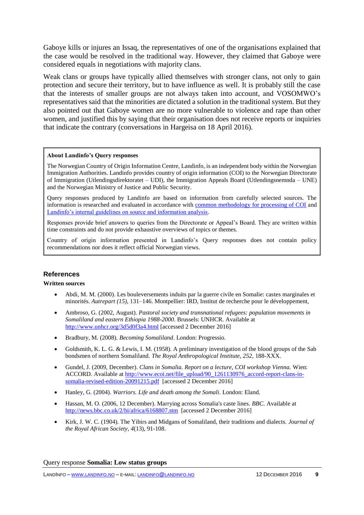Gaboye kills or injures an Issaq, the representatives of one of the organisations explained that the case would be resolved in the traditional way. However, they claimed that Gaboye were considered equals in negotiations with majority clans.

Weak clans or groups have typically allied themselves with stronger clans, not only to gain protection and secure their territory, but to have influence as well. It is probably still the case that the interests of smaller groups are not always taken into account, and VOSOMWO's representatives said that the minorities are dictated a solution in the traditional system. But they also pointed out that Gaboye women are no more vulnerable to violence and rape than other women, and justified this by saying that their organisation does not receive reports or inquiries that indicate the contrary (conversations in Hargeisa on 18 April 2016).

#### **About Landinfo's Query responses**

The Norwegian Country of Origin Information Centre, Landinfo, is an independent body within the Norwegian Immigration Authorities. Landinfo provides country of origin information (COI) to the Norwegian Directorate of Immigration (Utlendingsdirektoratet – UDI), the Immigration Appeals Board (Utlendingsnemnda – UNE) and the Norwegian Ministry of Justice and Public Security.

Query responses produced by Landinfo are based on information from carefully selected sources. The information is researched and evaluated in accordance with [common methodology for processing of COI](http://www.landinfo.no/id/20.0) and [Landinfo's internal guidelines on source and information analysis.](http://www.landinfo.no/asset/3135/1/3135_1.pdf)

Responses provide brief answers to queries from the Directorate or Appeal's Board. They are written within time constraints and do not provide exhaustive overviews of topics or themes.

Country of origin information presented in Landinfo's Query responses does not contain policy recommendations nor does it reflect official Norwegian views.

#### **References**

#### **Written sources**

- Abdi, M. M. (2000). Les bouleversements induits par la guerre civile en Somalie: castes marginales et minorités. *Autrepart (15),* 131–146. Montpellier: IRD, Institut de recherche pour le développement,
- Ambroso, G. (2002, August). *Pastoral society and transnational refugees: population movements in Somaliland and eastern Ethiopia 1988-2000*. Brussels: UNHCR. Available at <http://www.unhcr.org/3d5d0f3a4.html> [accessed 2 December 2016]
- Bradbury, M. (2008). *Becoming Somaliland*. London: Progressio.
- Goldsmith, K. L. G. & Lewis, I. M. (1958). A preliminary investigation of the blood groups of the Sab bondsmen of northern Somaliland. *The Royal Anthropological Institute, 252*, 188-XXX.
- Gundel, J. (2009, December). *Clans in Somalia. Report on a lecture, COI workshop Vienna.* Wien: ACCORD. Available at [http://www.ecoi.net/file\\_upload/90\\_1261130976\\_accord-report-clans-in](http://www.ecoi.net/file_upload/90_1261130976_accord-report-clans-in-somalia-revised-edition-20091215.pdf)[somalia-revised-edition-20091215.pdf](http://www.ecoi.net/file_upload/90_1261130976_accord-report-clans-in-somalia-revised-edition-20091215.pdf) [accessed 2 December 2016]
- Hanley, G. (2004). *Warriors. Life and death among the Somali*. London: Eland.
- Hassan, M. O. (2006, 12 December). Marrying across Somalia's caste lines. *BBC*. Available at <http://news.bbc.co.uk/2/hi/africa/6168807.stm>[accessed 2 December 2016]
- Kirk, J. W. C. (1904). The Yibirs and Midgans of Somaliland, their traditions and dialects. *Journal of the Royal African Society, 4*(13), 91-108.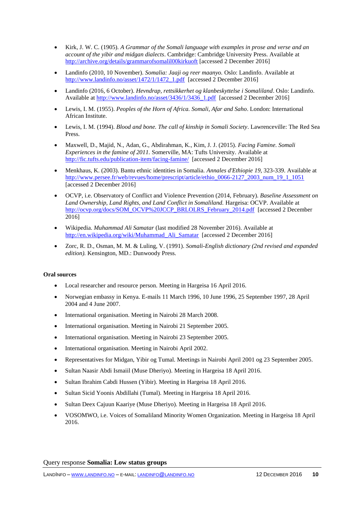- Kirk, J. W. C. (1905). *A Grammar of the Somali language with examples in prose and verse and an account of the yibir and midgan dialects*. Cambridge: Cambridge University Press. Available at <http://archive.org/details/grammarofsomalil00kirkuoft> [accessed 2 December 2016]
- Landinfo (2010, 10 November). *Somalia: Jaaji og reer maanyo.* Oslo: Landinfo. Available at [http://www.landinfo.no/asset/1472/1/1472\\_1.pdf](http://www.landinfo.no/asset/1472/1/1472_1.pdf) [accessed 2 December 2016]
- Landinfo (2016, 6 October). *Hevndrap, rettsikkerhet og klanbeskyttelse i Somaliland*. Oslo: Landinfo. Available at [http://www.landinfo.no/asset/3436/1/3436\\_1.pdf](http://www.landinfo.no/asset/3436/1/3436_1.pdf) [accessed 2 December 2016]
- Lewis, I. M. (1955). *Peoples of the Horn of Africa. Somali, Afar and Saho*. London: International African Institute.
- Lewis, I. M. (1994). *Blood and bone. The call of kinship in Somali Society*. Lawrenceville: The Red Sea Press.
- Maxwell, D., Majid, N., Adan, G., Abdirahman, K., Kim, J. J. (2015). *Facing Famine. Somali Experiences in the famine of 2011.* Somerville, MA: Tufts University. Available at <http://fic.tufts.edu/publication-item/facing-famine/> [accessed 2 December 2016]
- Menkhaus, K. (2003). Bantu ethnic identities in Somalia. *Annales d'Ethiopie 19*, 323-339. Available at [http://www.persee.fr/web/revues/home/prescript/article/ethio\\_0066-2127\\_2003\\_num\\_19\\_1\\_1051](http://www.persee.fr/web/revues/home/prescript/article/ethio_0066-2127_2003_num_19_1_1051) [accessed 2 December 2016]
- OCVP, i.e. Observatory of Conflict and Violence Prevention (2014, February). *Baseline Assessment on Land Ownership, Land Rights, and Land Conflict in Somaliland.* Hargeisa: OCVP. Available at [http://ocvp.org/docs/SOM\\_OCVP%20JCCP\\_BRLOLRS\\_February\\_2014.pdf](http://ocvp.org/docs/SOM_OCVP%20JCCP_BRLOLRS_February_2014.pdf) [accessed 2 December 2016]
- Wikipedia. *Muhammad Ali Samatar* (last modified 28 November 2016). Available at http://en.wikipedia.org/wiki/Muhammad Ali Samatar [accessed 2 December 2016]
- Zorc, R. D., Osman, M. M. & Luling, V. (1991). *Somali-English dictionary (2nd revised and expanded edition).* Kensington, MD.: Dunwoody Press.

#### **Oral sources**

- Local researcher and resource person. Meeting in Hargeisa 16 April 2016.
- Norwegian embassy in Kenya. E-mails 11 March 1996, 10 June 1996, 25 September 1997, 28 April 2004 and 4 June 2007.
- International organisation. Meeting in Nairobi 28 March 2008.
- International organisation. Meeting in Nairobi 21 September 2005.
- International organisation. Meeting in Nairobi 23 September 2005.
- International organisation. Meeting in Nairobi April 2002.
- Representatives for Midgan, Yibir og Tumal. Meetings in Nairobi April 2001 og 23 September 2005.
- Sultan Naasir Abdi Ismaiil (Muse Dheriyo). Meeting in Hargeisa 18 April 2016.
- Sultan Ibrahim Cabdi Hussen (Yibir). Meeting in Hargeisa 18 April 2016.
- Sultan Sicid Yoonis Abdillahi (Tumal). Meeting in Hargeisa 18 April 2016.
- Sultan Deex Cajuun Kaariye (Muse Dheriyo). Meeting in Hargeisa 18 April 2016.
- VOSOMWO, i.e. Voices of Somaliland Minority Women Organization. Meeting in Hargeisa 18 April 2016.